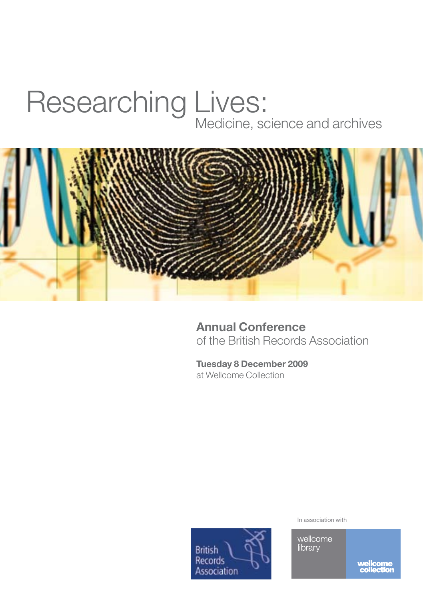## Medicine, science and archives Researching Lives:



**Annual Conference**  of the British Records Association

**Tuesday 8 December 2009** at Wellcome Collection



In association with

wellcome<br>library

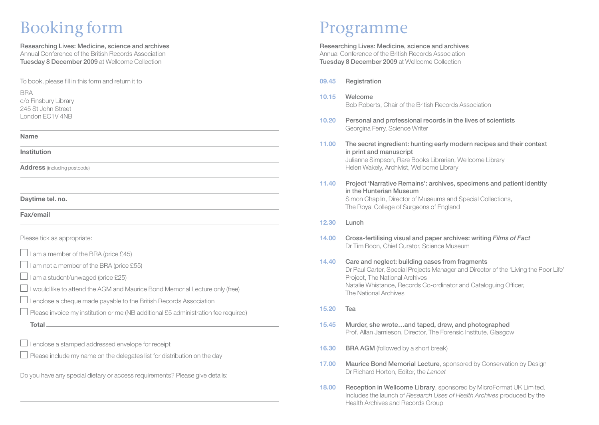# Booking form Programme

Researching Lives: Medicine, science and archives Annual Conference of the British Records Association Tuesday 8 December 2009 at Wellcome Collection

To book, please fill in this form and return it to

**BRA** c/o Finsbury Library 245 St John Street London EC1V 4NB

### **Name**

### **Institution**

**Address** (including postcode)

**Daytime tel. no.**

**Fax/email**

 $\overline{a}$ 

Please tick as appropriate:

 $\Box$  I am a member of the BRA (price £45)

 $\Box$  I am not a member of the BRA (price £55)

 $\Box$  I am a student/unwaged (price £25)

 $\Box$  I would like to attend the AGM and Maurice Bond Memorial Lecture only (free)

 $\Box$  I enclose a cheque made payable to the British Records Association

- $\Box$  Please invoice my institution or me (NB additional £5 administration fee required)
	- **Total**

 $\Box$  I enclose a stamped addressed envelope for receipt

 $\Box$  Please include my name on the delegates list for distribution on the dav

Do you have any special dietary or access requirements? Please give details:

Researching Lives: Medicine, science and archives Annual Conference of the British Records Association Tuesday 8 December 2009 at Wellcome Collection

- **09.45** Registration
- **10.15** Welcome Bob Roberts, Chair of the British Records Association
- **10.20** Personal and professional records in the lives of scientists Georgina Ferry, Science Writer
- **11.00** The secret ingredient: hunting early modern recipes and their context in print and manuscript Julianne Simpson, Rare Books Librarian, Wellcome Library Helen Wakely, Archivist, Wellcome Library
- **11.40** Project 'Narrative Remains': archives, specimens and patient identity in the Hunterian Museum Simon Chaplin, Director of Museums and Special Collections, The Royal College of Surgeons of England
- **12.30** Lunch
- **14.00** Cross-fertilising visual and paper archives: writing *Films of Fact* Dr Tim Boon, Chief Curator, Science Museum

### **14.40** Care and neglect: building cases from fragments Dr Paul Carter, Special Projects Manager and Director of the 'Living the Poor Life' Project, The National Archives Natalie Whistance, Records Co-ordinator and Cataloguing Officer, The National Archives

- **15.20** Tea
- **15.45** Murder, she wrote…and taped, drew, and photographed Prof. Allan Jamieson, Director, The Forensic Institute, Glasgow
- **16.30 BRA AGM** (followed by a short break)
- **17.00 Maurice Bond Memorial Lecture**, sponsored by Conservation by Design Dr Richard Horton, Editor, the *Lancet*
- **18.00 Reception in Wellcome Library, sponsored by MicroFormat UK Limited.** Includes the launch of *Research Uses of Health Archives* produced by the Health Archives and Records Group